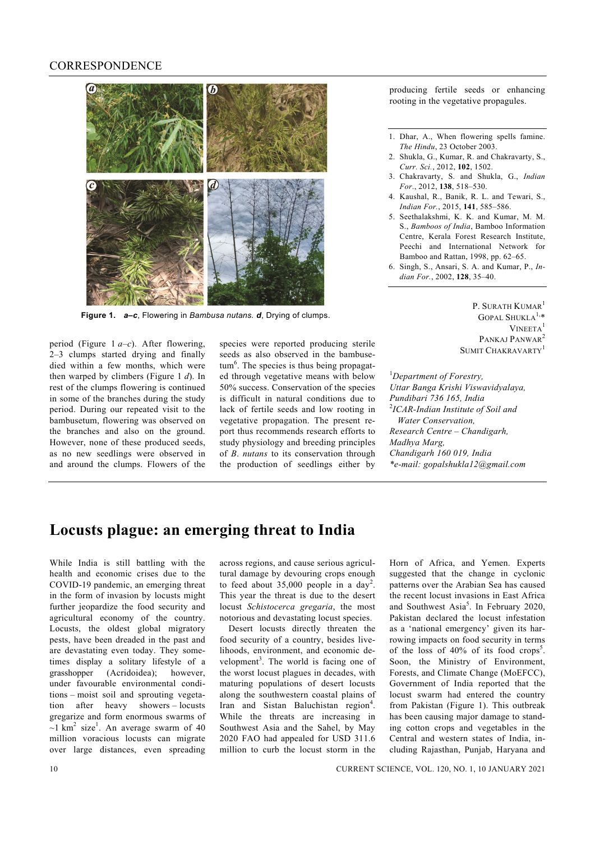## **CORRESPONDENCE**



**Figure 1.** *a–c*, Flowering in *Bambusa nutans. d*, Drying of clumps.

period (Figure 1 *a–c*). After flowering, 2–3 clumps started drying and finally died within a few months, which were then warped by climbers (Figure 1 *d*). In rest of the clumps flowering is continued in some of the branches during the study period. During our repeated visit to the bambusetum, flowering was observed on the branches and also on the ground. However, none of these produced seeds, as no new seedlings were observed in and around the clumps. Flowers of the species were reported producing sterile seeds as also observed in the bambusetum<sup>6</sup>. The species is thus being propagated through vegetative means with below 50% success. Conservation of the species is difficult in natural conditions due to lack of fertile seeds and low rooting in vegetative propagation. The present report thus recommends research efforts to study physiology and breeding principles of *B*. *nutans* to its conservation through the production of seedlings either by

producing fertile seeds or enhancing rooting in the vegetative propagules.

- 1. Dhar, A., When flowering spells famine. *The Hindu*, 23 October 2003.
- 2. Shukla, G., Kumar, R. and Chakravarty, S., *Curr. Sci.*, 2012, **102**, 1502.
- 3. Chakravarty, S. and Shukla, G., *Indian For*., 2012, **138**, 518–530.
- 4. Kaushal, R., Banik, R. L. and Tewari, S., *Indian For.*, 2015, **141**, 585–586.
- 5. Seethalakshmi, K. K. and Kumar, M. M. S., *Bamboos of India*, Bamboo Information Centre, Kerala Forest Research Institute, Peechi and International Network for Bamboo and Rattan, 1998, pp. 62–65.
- 6. Singh, S., Ansari, S. A. and Kumar, P., *Indian For.*, 2002, **128**, 35–40.

P. SURATH KUMAR<sup>1</sup>  $GOPAL$  SHUKLA<sup>1,\*</sup> VINEETA<sup>1</sup> PANKAJ PANWAR<sup>2</sup> SUMIT CHAKRAVARTY<sup>1</sup>

1 *Department of Forestry, Uttar Banga Krishi Viswavidyalaya, Pundibari 736 165, India*  2 *ICAR-Indian Institute of Soil and Water Conservation, Research Centre – Chandigarh, Madhya Marg, Chandigarh 160 019, India \*e-mail: gopalshukla12@gmail.com* 

## **Locusts plague: an emerging threat to India**

While India is still battling with the health and economic crises due to the COVID-19 pandemic, an emerging threat in the form of invasion by locusts might further jeopardize the food security and agricultural economy of the country. Locusts, the oldest global migratory pests, have been dreaded in the past and are devastating even today. They sometimes display a solitary lifestyle of a grasshopper (Acridoidea); however, under favourable environmental conditions – moist soil and sprouting vegetation after heavy showers – locusts gregarize and form enormous swarms of  $\sim$ 1 km<sup>2</sup> size<sup>1</sup>. An average swarm of 40 million voracious locusts can migrate over large distances, even spreading

across regions, and cause serious agricultural damage by devouring crops enough to feed about  $35,000$  people in a day<sup>2</sup>. This year the threat is due to the desert locust *Schistocerca gregaria*, the most notorious and devastating locust species.

 Desert locusts directly threaten the food security of a country, besides livelihoods, environment, and economic development<sup>3</sup>. The world is facing one of the worst locust plagues in decades, with maturing populations of desert locusts along the southwestern coastal plains of Iran and Sistan Baluchistan region<sup>4</sup>. While the threats are increasing in Southwest Asia and the Sahel, by May 2020 FAO had appealed for USD 311.6 million to curb the locust storm in the

Horn of Africa, and Yemen. Experts suggested that the change in cyclonic patterns over the Arabian Sea has caused the recent locust invasions in East Africa and Southwest Asia<sup>5</sup>. In February 2020, Pakistan declared the locust infestation as a 'national emergency' given its harrowing impacts on food security in terms of the loss of  $40\%$  of its food crops<sup>5</sup>. Soon, the Ministry of Environment, Forests, and Climate Change (MoEFCC), Government of India reported that the locust swarm had entered the country from Pakistan (Figure 1). This outbreak has been causing major damage to standing cotton crops and vegetables in the Central and western states of India, including Rajasthan, Punjab, Haryana and